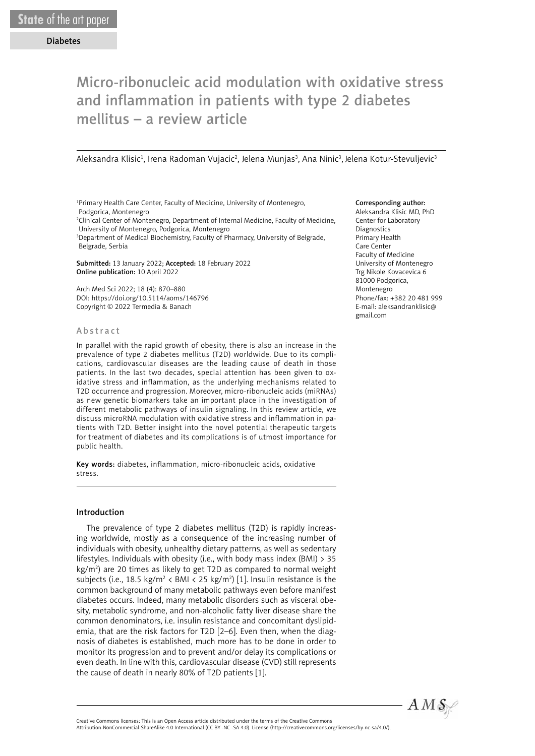# Micro-ribonucleic acid modulation with oxidative stress and inflammation in patients with type 2 diabetes mellitus – a review article

Aleksandra Klisic<sup>1</sup>, Irena Radoman Vujacic<sup>2</sup>, Jelena Munjas<sup>3</sup>, Ana Ninic<sup>3</sup>, Jelena Kotur-Stevuljevic<sup>3</sup>

1 Primary Health Care Center, Faculty of Medicine, University of Montenegro, Podgorica, Montenegro

2 Clinical Center of Montenegro, Department of Internal Medicine, Faculty of Medicine, University of Montenegro, Podgorica, Montenegro

3 Department of Medical Biochemistry, Faculty of Pharmacy, University of Belgrade, Belgrade, Serbia

Submitted: 13 January 2022; Accepted: 18 February 2022 Online publication: 10 April 2022

Arch Med Sci 2022; 18 (4): 870–880 DOI: https://doi.org/10.5114/aoms/146796 Copyright © 2022 Termedia & Banach

#### Abstract

In parallel with the rapid growth of obesity, there is also an increase in the prevalence of type 2 diabetes mellitus (T2D) worldwide. Due to its complications, cardiovascular diseases are the leading cause of death in those patients. In the last two decades, special attention has been given to oxidative stress and inflammation, as the underlying mechanisms related to T2D occurrence and progression. Moreover, micro-ribonucleic acids (miRNAs) as new genetic biomarkers take an important place in the investigation of different metabolic pathways of insulin signaling. In this review article, we discuss microRNA modulation with oxidative stress and inflammation in patients with T2D. Better insight into the novel potential therapeutic targets for treatment of diabetes and its complications is of utmost importance for public health.

Key words: diabetes, inflammation, micro-ribonucleic acids, oxidative stress.

## Introduction

The prevalence of type 2 diabetes mellitus (T2D) is rapidly increasing worldwide, mostly as a consequence of the increasing number of individuals with obesity, unhealthy dietary patterns, as well as sedentary lifestyles. Individuals with obesity (i.e., with body mass index (BMI) > 35 kg/m<sup>2</sup>) are 20 times as likely to get T2D as compared to normal weight subjects (i.e., 18.5 kg/m<sup>2</sup> < BMI < 25 kg/m<sup>2</sup>) [1]. Insulin resistance is the common background of many metabolic pathways even before manifest diabetes occurs. Indeed, many metabolic disorders such as visceral obesity, metabolic syndrome, and non-alcoholic fatty liver disease share the common denominators, i.e. insulin resistance and concomitant dyslipidemia, that are the risk factors for T2D [2–6]. Even then, when the diagnosis of diabetes is established, much more has to be done in order to monitor its progression and to prevent and/or delay its complications or even death. In line with this, cardiovascular disease (CVD) still represents the cause of death in nearly 80% of T2D patients [1].

#### Corresponding author:

Aleksandra Klisic MD, PhD Center for Laboratory Diagnostics Primary Health Care Center Faculty of Medicine University of Montenegro Trg Nikole Kovacevica 6 81000 Podgorica, Montenegro Phone/fax: +382 20 481 999 E-mail: aleksandranklisic@ gmail.com



Attribution-NonCommercial-ShareAlike 4.0 International (CC BY -NC -SA 4.0). License (http://creativecommons.org/licenses/by-nc-sa/4.0/).

Creative Commons licenses: This is an Open Access article distributed under the terms of the Creative Commons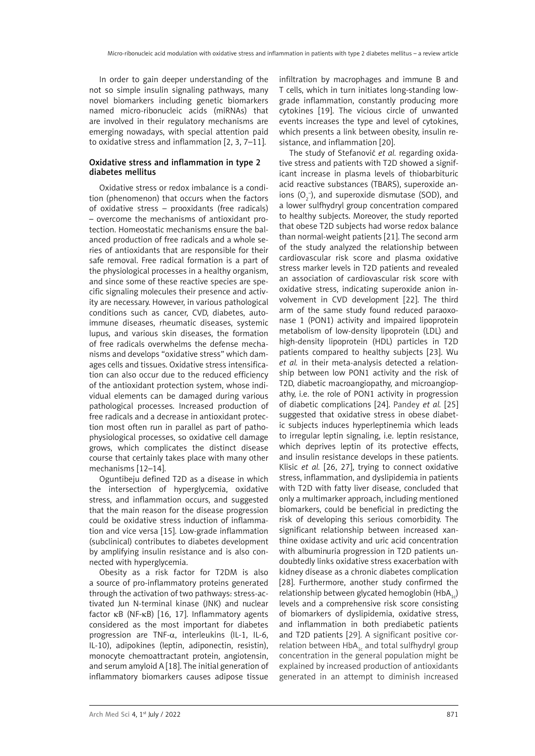In order to gain deeper understanding of the not so simple insulin signaling pathways, many novel biomarkers including genetic biomarkers named micro-ribonucleic acids (miRNAs) that are involved in their regulatory mechanisms are emerging nowadays, with special attention paid to oxidative stress and inflammation [2, 3, 7–11].

## Oxidative stress and inflammation in type 2 diabetes mellitus

Oxidative stress or redox imbalance is a condition (phenomenon) that occurs when the factors of oxidative stress – prooxidants (free radicals) – overcome the mechanisms of antioxidant protection. Homeostatic mechanisms ensure the balanced production of free radicals and a whole series of antioxidants that are responsible for their safe removal. Free radical formation is a part of the physiological processes in a healthy organism, and since some of these reactive species are specific signaling molecules their presence and activity are necessary. However, in various pathological conditions such as cancer, CVD, diabetes, autoimmune diseases, rheumatic diseases, systemic lupus, and various skin diseases, the formation of free radicals overwhelms the defense mechanisms and develops "oxidative stress" which damages cells and tissues. Oxidative stress intensification can also occur due to the reduced efficiency of the antioxidant protection system, whose individual elements can be damaged during various pathological processes. Increased production of free radicals and a decrease in antioxidant protection most often run in parallel as part of pathophysiological processes, so oxidative cell damage grows, which complicates the distinct disease course that certainly takes place with many other mechanisms [12–14].

Oguntibeju defined T2D as a disease in which the intersection of hyperglycemia, oxidative stress, and inflammation occurs, and suggested that the main reason for the disease progression could be oxidative stress induction of inflammation and vice versa [15]. Low-grade inflammation (subclinical) contributes to diabetes development by amplifying insulin resistance and is also connected with hyperglycemia.

Obesity as a risk factor for T2DM is also a source of pro-inflammatory proteins generated through the activation of two pathways: stress-activated Jun N-terminal kinase (JNK) and nuclear factor κB (NF-κB) [16, 17]. Inflammatory agents considered as the most important for diabetes progression are TNF-α, interleukins (IL-1, IL-6, IL-10), adipokines (leptin, adiponectin, resistin), monocyte chemoattractant protein, angiotensin, and serum amyloid A [18]. The initial generation of inflammatory biomarkers causes adipose tissue infiltration by macrophages and immune B and T cells, which in turn initiates long-standing lowgrade inflammation, constantly producing more cytokines [19]. The vicious circle of unwanted events increases the type and level of cytokines, which presents a link between obesity, insulin resistance, and inflammation [20].

The study of Stefanović *et al.* regarding oxidative stress and patients with T2D showed a significant increase in plasma levels of thiobarbituric acid reactive substances (TBARS), superoxide anions  $(O_2^-)$ , and superoxide dismutase (SOD), and a lower sulfhydryl group concentration compared to healthy subjects. Moreover, the study reported that obese T2D subjects had worse redox balance than normal-weight patients [21]. The second arm of the study analyzed the relationship between cardiovascular risk score and plasma oxidative stress marker levels in T2D patients and revealed an association of cardiovascular risk score with oxidative stress, indicating superoxide anion involvement in CVD development [22]. The third arm of the same study found reduced paraoxonase 1 (PON1) activity and impaired lipoprotein metabolism of low-density lipoprotein (LDL) and high-density lipoprotein (HDL) particles in T2D patients compared to healthy subjects [23]. Wu *et al.* in their meta-analysis detected a relationship between low PON1 activity and the risk of T2D, diabetic macroangiopathy, and microangiopathy, i.e. the role of PON1 activity in progression of diabetic complications [24]. Pandey *et al.* [25] suggested that oxidative stress in obese diabetic subjects induces hyperleptinemia which leads to irregular leptin signaling, i.e. leptin resistance, which deprives leptin of its protective effects, and insulin resistance develops in these patients. Klisic *et al.* [26, 27], trying to connect oxidative stress, inflammation, and dyslipidemia in patients with T2D with fatty liver disease, concluded that only a multimarker approach, including mentioned biomarkers, could be beneficial in predicting the risk of developing this serious comorbidity. The significant relationship between increased xanthine oxidase activity and uric acid concentration with albuminuria progression in T2D patients undoubtedly links oxidative stress exacerbation with kidney disease as a chronic diabetes complication [28]. Furthermore, another study confirmed the relationship between glycated hemoglobin  $(HbA_1)$ levels and a comprehensive risk score consisting of biomarkers of dyslipidemia, oxidative stress, and inflammation in both prediabetic patients and T2D patients [29]. A significant positive correlation between  $HbA_{1c}$  and total sulfhydryl group concentration in the general population might be explained by increased production of antioxidants generated in an attempt to diminish increased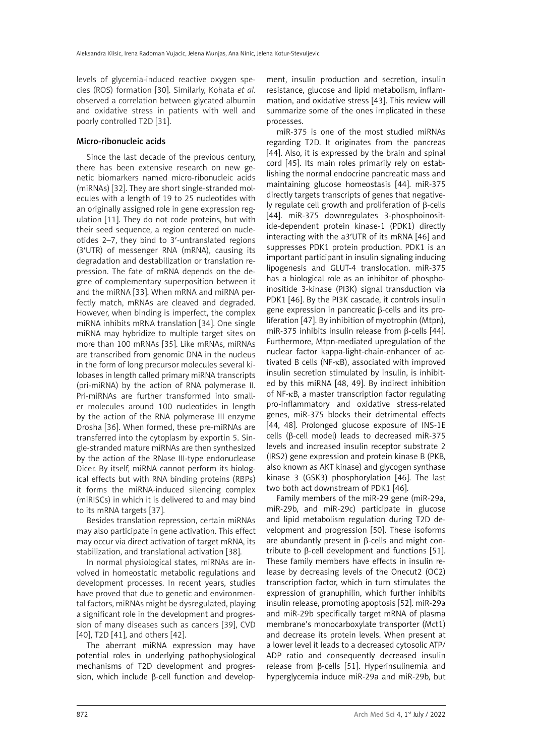levels of glycemia-induced reactive oxygen species (ROS) formation [30]. Similarly, Kohata *et al.* observed a correlation between glycated albumin and oxidative stress in patients with well and poorly controlled T2D [31].

## Micro-ribonucleic acids

Since the last decade of the previous century, there has been extensive research on new genetic biomarkers named micro-ribonucleic acids (miRNAs) [32]. They are short single-stranded molecules with a length of 19 to 25 nucleotides with an originally assigned role in gene expression regulation [11]. They do not code proteins, but with their seed sequence, a region centered on nucleotides 2–7, they bind to 3′-untranslated regions (3′UTR) of messenger RNA (mRNA), causing its degradation and destabilization or translation repression. The fate of mRNA depends on the degree of complementary superposition between it and the miRNA [33]. When mRNA and miRNA perfectly match, mRNAs are cleaved and degraded. However, when binding is imperfect, the complex miRNA inhibits mRNA translation [34]. One single miRNA may hybridize to multiple target sites on more than 100 mRNAs [35]. Like mRNAs, miRNAs are transcribed from genomic DNA in the nucleus in the form of long precursor molecules several kilobases in length called primary miRNA transcripts (pri-miRNA) by the action of RNA polymerase II. Pri-miRNAs are further transformed into smaller molecules around 100 nucleotides in length by the action of the RNA polymerase III enzyme Drosha [36]. When formed, these pre-miRNAs are transferred into the cytoplasm by exportin 5. Single-stranded mature miRNAs are then synthesized by the action of the RNase III-type endonuclease Dicer. By itself, miRNA cannot perform its biological effects but with RNA binding proteins (RBPs) it forms the miRNA-induced silencing complex (miRISCs) in which it is delivered to and may bind to its mRNA targets [37].

Besides translation repression, certain miRNAs may also participate in gene activation. This effect may occur via direct activation of target mRNA, its stabilization, and translational activation [38].

In normal physiological states, miRNAs are involved in homeostatic metabolic regulations and development processes. In recent years, studies have proved that due to genetic and environmental factors, miRNAs might be dysregulated, playing a significant role in the development and progression of many diseases such as cancers [39], CVD [40], T2D [41], and others [42].

The aberrant miRNA expression may have potential roles in underlying pathophysiological mechanisms of T2D development and progression, which include β-cell function and development, insulin production and secretion, insulin resistance, glucose and lipid metabolism, inflammation, and oxidative stress [43]. This review will summarize some of the ones implicated in these processes.

miR-375 is one of the most studied miRNAs regarding T2D. It originates from the pancreas [44]. Also, it is expressed by the brain and spinal cord [45]. Its main roles primarily rely on establishing the normal endocrine pancreatic mass and maintaining glucose homeostasis [44]. miR-375 directly targets transcripts of genes that negatively regulate cell growth and proliferation of β-cells [44]. miR-375 downregulates 3-phosphoinositide-dependent protein kinase-1 (PDK1) directly interacting with the a3′UTR of its mRNA [46] and suppresses PDK1 protein production. PDK1 is an important participant in insulin signaling inducing lipogenesis and GLUT-4 translocation. miR-375 has a biological role as an inhibitor of phosphoinositide 3-kinase (PI3K) signal transduction via PDK1 [46]. By the PI3K cascade, it controls insulin gene expression in pancreatic β-cells and its proliferation [47]. By inhibition of myotrophin (Mtpn), miR-375 inhibits insulin release from β-cells [44]. Furthermore, Mtpn-mediated upregulation of the nuclear factor kappa-light-chain-enhancer of activated B cells (NF-κB), associated with improved insulin secretion stimulated by insulin, is inhibited by this miRNA [48, 49]. By indirect inhibition of NF-κB, a master transcription factor regulating pro-inflammatory and oxidative stress-related genes, miR-375 blocks their detrimental effects [44, 48]. Prolonged glucose exposure of INS-1E cells (β-cell model) leads to decreased miR-375 levels and increased insulin receptor substrate 2 (IRS2) gene expression and protein kinase B (PKB, also known as AKT kinase) and glycogen synthase kinase 3 (GSK3) phosphorylation [46]. The last two both act downstream of PDK1 [46].

Family members of the miR-29 gene (miR-29a, miR-29b, and miR-29c) participate in glucose and lipid metabolism regulation during T2D development and progression [50]. These isoforms are abundantly present in β-cells and might contribute to β-cell development and functions [51]. These family members have effects in insulin release by decreasing levels of the Onecut2 (OC2) transcription factor, which in turn stimulates the expression of granuphilin, which further inhibits insulin release, promoting apoptosis [52]. miR-29a and miR-29b specifically target mRNA of plasma membrane's monocarboxylate transporter (Mct1) and decrease its protein levels. When present at a lower level it leads to a decreased cytosolic ATP/ ADP ratio and consequently decreased insulin release from β-cells [51]. Hyperinsulinemia and hyperglycemia induce miR-29a and miR-29b, but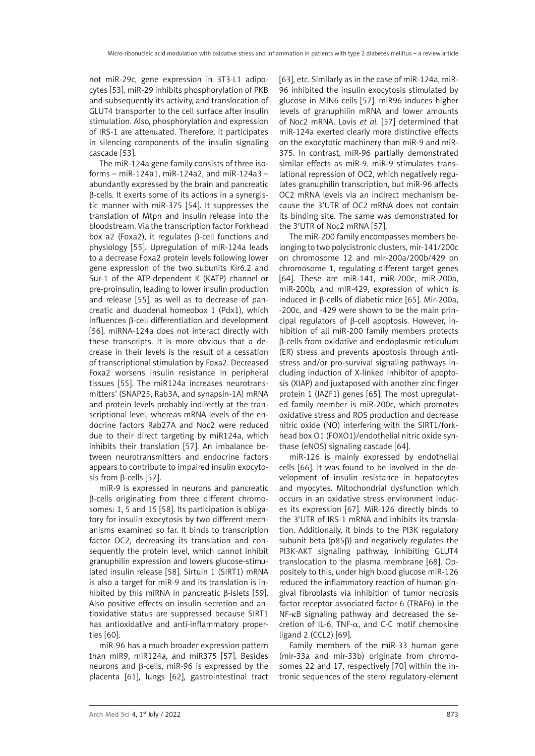not miR-29c, gene expression in 3T3-L1 adipocytes [53]. miR-29 inhibits phosphorylation of PKB and subsequently its activity, and translocation of GLUT4 transporter to the cell surface after insulin stimulation. Also, phosphorylation and expression of IRS-1 are attenuated. Therefore, it participates in silencing components of the insulin signaling cascade [53].

The miR-124a gene family consists of three isoforms – miR-124a1, miR-124a2, and miR-124a3 – abundantly expressed by the brain and pancreatic β-cells. It exerts some of its actions in a synergistic manner with miR-375 [54]. It suppresses the translation of Mtpn and insulin release into the bloodstream. Via the transcription factor Forkhead box a2 (Foxa2), it regulates β-cell functions and physiology [55]. Upregulation of miR-124a leads to a decrease Foxa2 protein levels following lower gene expression of the two subunits Kir6.2 and Sur-1 of the ATP-dependent K (KATP) channel or pre-proinsulin, leading to lower insulin production and release [55], as well as to decrease of pancreatic and duodenal homeobox 1 (Pdx1), which influences β-cell differentiation and development [56]. miRNA-124a does not interact directly with these transcripts. It is more obvious that a decrease in their levels is the result of a cessation of transcriptional stimulation by Foxa2. Decreased Foxa2 worsens insulin resistance in peripheral tissues [55]. The miR124a increases neurotransmitters' (SNAP25, Rab3A, and synapsin-1A) mRNA and protein levels probably indirectly at the transcriptional level, whereas mRNA levels of the endocrine factors Rab27A and Noc2 were reduced due to their direct targeting by miR124a, which inhibits their translation [57]. An imbalance between neurotransmitters and endocrine factors appears to contribute to impaired insulin exocytosis from β-cells [57].

miR-9 is expressed in neurons and pancreatic β-cells originating from three different chromosomes: 1, 5 and 15 [58]. Its participation is obligatory for insulin exocytosis by two different mechanisms examined so far. It binds to transcription factor OC2, decreasing its translation and consequently the protein level, which cannot inhibit granuphilin expression and lowers glucose-stimulated insulin release [58]. Sirtuin 1 (SIRT1) mRNA is also a target for miR-9 and its translation is inhibited by this miRNA in pancreatic β-islets [59]. Also positive effects on insulin secretion and antioxidative status are suppressed because SIRT1 has antioxidative and anti-inflammatory properties [60].

miR-96 has a much broader expression pattern than miR9, miR124a, and miR375 [57]. Besides neurons and β-cells, miR-96 is expressed by the placenta [61], lungs [62], gastrointestinal tract [63], etc. Similarly as in the case of miR-124a, miR-96 inhibited the insulin exocytosis stimulated by glucose in MIN6 cells [57]. miR96 induces higher levels of granuphilin mRNA and lower amounts of Noc2 mRNA. Lovis *et al.* [57] determined that miR-124a exerted clearly more distinctive effects on the exocytotic machinery than miR-9 and miR-375. In contrast, miR-96 partially demonstrated similar effects as miR-9. miR-9 stimulates translational repression of OC2, which negatively regulates granuphilin transcription, but miR-96 affects OC2 mRNA levels via an indirect mechanism because the 3′UTR of OC2 mRNA does not contain its binding site. The same was demonstrated for the 3′UTR of Noc2 mRNA [57].

The miR-200 family encompasses members belonging to two polycistronic clusters, mir-141/200c on chromosome 12 and mir-200a/200b/429 on chromosome 1, regulating different target genes [64]. These are miR-141, miR-200c, miR-200a, miR-200b, and miR-429, expression of which is induced in β-cells of diabetic mice [65]. Mir-200a, -200c, and -429 were shown to be the main principal regulators of β-cell apoptosis. However, inhibition of all miR-200 family members protects β-cells from oxidative and endoplasmic reticulum (ER) stress and prevents apoptosis through antistress and/or pro-survival signaling pathways including induction of X-linked inhibitor of apoptosis (XIAP) and juxtaposed with another zinc finger protein 1 (JAZF1) genes [65]. The most upregulated family member is miR-200c, which promotes oxidative stress and ROS production and decrease nitric oxide (NO) interfering with the SIRT1/forkhead box O1 (FOXO1)/endothelial nitric oxide synthase (eNOS) signaling cascade [64].

miR-126 is mainly expressed by endothelial cells [66]. It was found to be involved in the development of insulin resistance in hepatocytes and myocytes. Mitochondrial dysfunction which occurs in an oxidative stress environment induces its expression [67]. MiR-126 directly binds to the 3′UTR of IRS-1 mRNA and inhibits its translation. Additionally, it binds to the PI3K regulatory subunit beta (p85β) and negatively regulates the PI3K-AKT signaling pathway, inhibiting GLUT4 translocation to the plasma membrane [68]. Oppositely to this, under high blood glucose miR-126 reduced the inflammatory reaction of human gingival fibroblasts via inhibition of tumor necrosis factor receptor associated factor 6 (TRAF6) in the NF-kB signaling pathway and decreased the secretion of IL-6, TNF-α, and C-C motif chemokine ligand 2 (CCL2) [69].

Family members of the miR-33 human gene (mir-33a and mir-33b) originate from chromosomes 22 and 17, respectively [70] within the intronic sequences of the sterol regulatory-element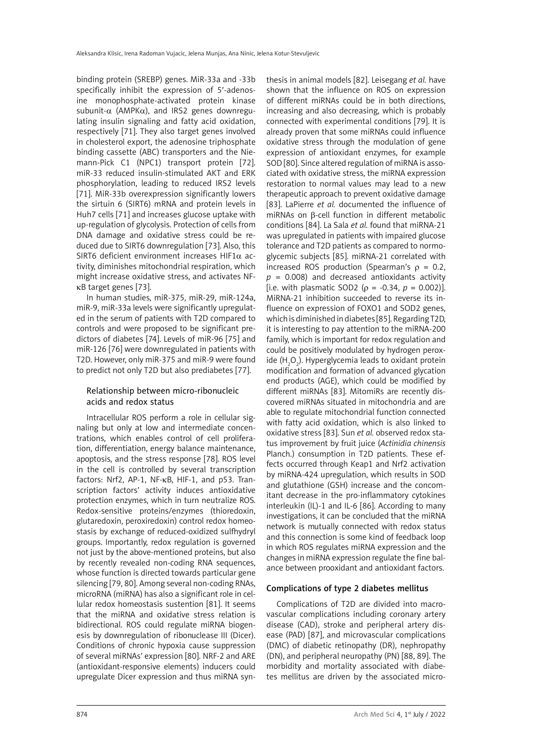binding protein (SREBP) genes. MiR-33a and -33b specifically inhibit the expression of 5′-adenosine monophosphate-activated protein kinase subunit- $\alpha$  (AMPK $\alpha$ ), and IRS2 genes downregulating insulin signaling and fatty acid oxidation, respectively [71]. They also target genes involved in cholesterol export, the adenosine triphosphate binding cassette (ABC) transporters and the Niemann-Pick C1 (NPC1) transport protein [72]. miR-33 reduced insulin-stimulated AKT and ERK phosphorylation, leading to reduced IRS2 levels [71]. MiR-33b overexpression significantly lowers the sirtuin 6 (SIRT6) mRNA and protein levels in Huh7 cells [71] and increases glucose uptake with up-regulation of glycolysis. Protection of cells from DNA damage and oxidative stress could be reduced due to SIRT6 downregulation [73]. Also, this SIRT6 deficient environment increases HIF1 $\alpha$  activity, diminishes mitochondrial respiration, which might increase oxidative stress, and activates NFκB target genes [73].

In human studies, miR-375, miR-29, miR-124a, miR-9, miR-33a levels were significantly upregulated in the serum of patients with T2D compared to controls and were proposed to be significant predictors of diabetes [74]. Levels of miR-96 [75] and miR-126 [76] were downregulated in patients with T2D. However, only miR-375 and miR-9 were found to predict not only T2D but also prediabetes [77].

# Relationship between micro-ribonucleic acids and redox status

Intracellular ROS perform a role in cellular signaling but only at low and intermediate concentrations, which enables control of cell proliferation, differentiation, energy balance maintenance, apoptosis, and the stress response [78]. ROS level in the cell is controlled by several transcription factors: Nrf2, AP-1, NF-κB, HIF-1, and p53. Transcription factors' activity induces antioxidative protection enzymes, which in turn neutralize ROS. Redox-sensitive proteins/enzymes (thioredoxin, glutaredoxin, peroxiredoxin) control redox homeostasis by exchange of reduced-oxidized sulfhydryl groups. Importantly, redox regulation is governed not just by the above-mentioned proteins, but also by recently revealed non-coding RNA sequences, whose function is directed towards particular gene silencing [79, 80]. Among several non-coding RNAs, microRNA (miRNA) has also a significant role in cellular redox homeostasis sustention [81]. It seems that the miRNA and oxidative stress relation is bidirectional. ROS could regulate miRNA biogenesis by downregulation of ribonuclease III (Dicer). Conditions of chronic hypoxia cause suppression of several miRNAs' expression [80]. NRF-2 and ARE (antioxidant-responsive elements) inducers could upregulate Dicer expression and thus miRNA synthesis in animal models [82]. Leisegang *et al.* have shown that the influence on ROS on expression of different miRNAs could be in both directions, increasing and also decreasing, which is probably connected with experimental conditions [79]. It is already proven that some miRNAs could influence oxidative stress through the modulation of gene expression of antioxidant enzymes, for example SOD [80]. Since altered regulation of miRNA is associated with oxidative stress, the miRNA expression restoration to normal values may lead to a new therapeutic approach to prevent oxidative damage [83]. LaPierre *et al.* documented the influence of miRNAs on b-cell function in different metabolic conditions [84]. La Sala *et al.* found that miRNA-21 was upregulated in patients with impaired glucose tolerance and T2D patients as compared to normoglycemic subjects [85]. miRNA-21 correlated with increased ROS production (Spearman's  $ρ = 0.2$ ,  $p = 0.008$ ) and decreased antioxidants activity [i.e. with plasmatic SOD2 ( $\rho = -0.34$ ,  $p = 0.002$ )]. MiRNA-21 inhibition succeeded to reverse its influence on expression of FOXO1 and SOD2 genes, which is diminished in diabetes [85]. Regarding T2D, it is interesting to pay attention to the miRNA-200 family, which is important for redox regulation and could be positively modulated by hydrogen peroxide  $(\mathsf{H}_{\mathfrak{z}}\mathsf{O}_{\mathfrak{z}})$ . Hyperglycemia leads to oxidant protein modification and formation of advanced glycation end products (AGE), which could be modified by different miRNAs [83]. MitomiRs are recently discovered miRNAs situated in mitochondria and are able to regulate mitochondrial function connected with fatty acid oxidation, which is also linked to oxidative stress [83]. Sun *et al.* observed redox status improvement by fruit juice (*Actinidia chinensis* Planch.) consumption in T2D patients. These effects occurred through Keap1 and Nrf2 activation by miRNA-424 upregulation, which results in SOD and glutathione (GSH) increase and the concomitant decrease in the pro-inflammatory cytokines interleukin (IL)-1 and IL-6 [86]. According to many investigations, it can be concluded that the miRNA network is mutually connected with redox status and this connection is some kind of feedback loop in which ROS regulates miRNA expression and the changes in miRNA expression regulate the fine balance between prooxidant and antioxidant factors.

# Complications of type 2 diabetes mellitus

Complications of T2D are divided into macrovascular complications including coronary artery disease (CAD), stroke and peripheral artery disease (PAD) [87], and microvascular complications (DMC) of diabetic retinopathy (DR), nephropathy (DN), and peripheral neuropathy (PN) [88, 89]. The morbidity and mortality associated with diabetes mellitus are driven by the associated micro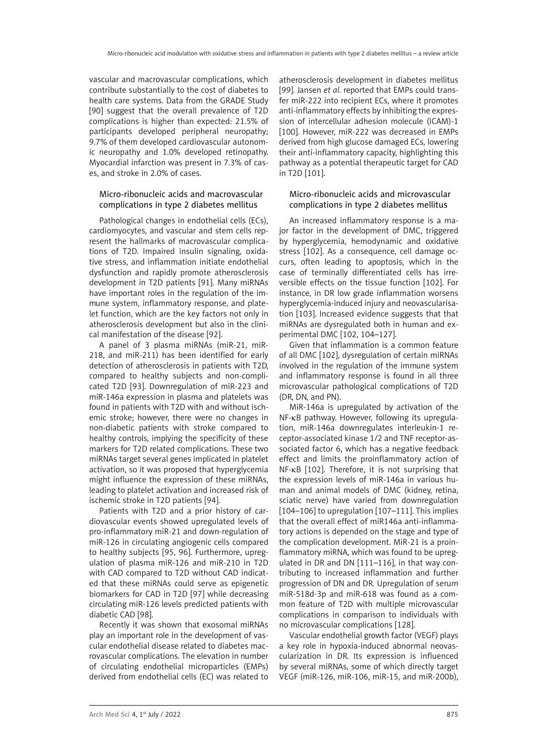vascular and macrovascular complications, which contribute substantially to the cost of diabetes to health care systems. Data from the GRADE Study [90] suggest that the overall prevalence of T2D complications is higher than expected: 21.5% of participants developed peripheral neuropathy; 9.7% of them developed cardiovascular autonomic neuropathy and 1.0% developed retinopathy. Myocardial infarction was present in 7.3% of cases, and stroke in 2.0% of cases.

# Micro-ribonucleic acids and macrovascular complications in type 2 diabetes mellitus

Pathological changes in endothelial cells (ECs), cardiomyocytes, and vascular and stem cells represent the hallmarks of macrovascular complications of T2D. Impaired insulin signaling, oxidative stress, and inflammation initiate endothelial dysfunction and rapidly promote atherosclerosis development in T2D patients [91]. Many miRNAs have important roles in the regulation of the immune system, inflammatory response, and platelet function, which are the key factors not only in atherosclerosis development but also in the clinical manifestation of the disease [92].

A panel of 3 plasma miRNAs (miR-21, miR-218, and miR-211) has been identified for early detection of atherosclerosis in patients with T2D, compared to healthy subjects and non-complicated T2D [93]. Downregulation of miR-223 and miR-146a expression in plasma and platelets was found in patients with T2D with and without ischemic stroke; however, there were no changes in non-diabetic patients with stroke compared to healthy controls, implying the specificity of these markers for T2D related complications. These two miRNAs target several genes implicated in platelet activation, so it was proposed that hyperglycemia might influence the expression of these miRNAs, leading to platelet activation and increased risk of ischemic stroke in T2D patients [94].

Patients with T2D and a prior history of cardiovascular events showed upregulated levels of pro-inflammatory miR-21 and down-regulation of miR-126 in circulating angiogenic cells compared to healthy subjects [95, 96]. Furthermore, upregulation of plasma miR-126 and miR-210 in T2D with CAD compared to T2D without CAD indicated that these miRNAs could serve as epigenetic biomarkers for CAD in T2D [97] while decreasing circulating miR-126 levels predicted patients with diabetic CAD [98].

Recently it was shown that exosomal miRNAs play an important role in the development of vascular endothelial disease related to diabetes macrovascular complications. The elevation in number of circulating endothelial microparticles (EMPs) derived from endothelial cells (EC) was related to

atherosclerosis development in diabetes mellitus [99]. Jansen *et al.* reported that EMPs could transfer miR-222 into recipient ECs, where it promotes anti-inflammatory effects by inhibiting the expression of intercellular adhesion molecule (ICAM)-1 [100]. However, miR-222 was decreased in EMPs derived from high glucose damaged ECs, lowering their anti-inflammatory capacity, highlighting this pathway as a potential therapeutic target for CAD in T2D [101].

# Micro-ribonucleic acids and microvascular complications in type 2 diabetes mellitus

An increased inflammatory response is a major factor in the development of DMC, triggered by hyperglycemia, hemodynamic and oxidative stress [102]. As a consequence, cell damage occurs, often leading to apoptosis, which in the case of terminally differentiated cells has irreversible effects on the tissue function [102]. For instance, in DR low grade inflammation worsens hyperglycemia-induced injury and neovascularisation [103]. Increased evidence suggests that that miRNAs are dysregulated both in human and experimental DMC [102, 104–127].

Given that inflammation is a common feature of all DMC [102], dysregulation of certain miRNAs involved in the regulation of the immune system and inflammatory response is found in all three microvascular pathological complications of T2D (DR, DN, and PN).

MiR-146a is upregulated by activation of the NF-κB pathway. However, following its upregulation, miR-146a downregulates interleukin-1 receptor-associated kinase 1/2 and TNF receptor-associated factor 6, which has a negative feedback effect and limits the proinflammatory action of NF-κB [102]. Therefore, it is not surprising that the expression levels of miR-146a in various human and animal models of DMC (kidney, retina, sciatic nerve) have varied from downregulation [104–106] to upregulation [107–111]. This implies that the overall effect of miR146a anti-inflammatory actions is depended on the stage and type of the complication development. MiR-21 is a proinflammatory miRNA, which was found to be upregulated in DR and DN [111–116], in that way contributing to increased inflammation and further progression of DN and DR. Upregulation of serum miR-518d-3p and miR-618 was found as a common feature of T2D with multiple microvascular complications in comparison to individuals with no microvascular complications [128].

Vascular endothelial growth factor (VEGF) plays a key role in hypoxia-induced abnormal neovascularization in DR. Its expression is influenced by several miRNAs, some of which directly target VEGF (miR-126, miR-106, miR-15, and miR-200b),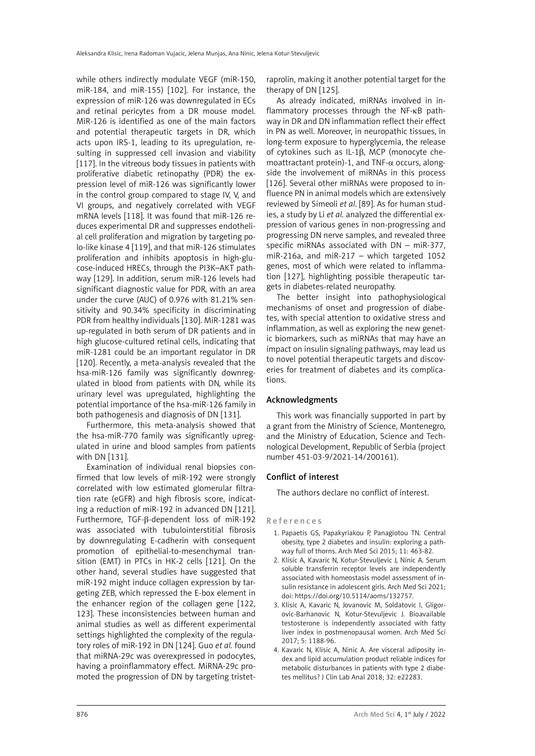while others indirectly modulate VEGF (miR-150, miR-184, and miR-155) [102]. For instance, the expression of miR-126 was downregulated in ECs and retinal pericytes from a DR mouse model. MiR-126 is identified as one of the main factors and potential therapeutic targets in DR, which acts upon IRS-1, leading to its upregulation, resulting in suppressed cell invasion and viability [117]. In the vitreous body tissues in patients with proliferative diabetic retinopathy (PDR) the expression level of miR-126 was significantly lower in the control group compared to stage IV, V, and VI groups, and negatively correlated with VEGF mRNA levels [118]. It was found that miR-126 reduces experimental DR and suppresses endothelial cell proliferation and migration by targeting polo-like kinase 4 [119], and that miR-126 stimulates proliferation and inhibits apoptosis in high-glucose-induced HRECs, through the PI3K–AKT pathway [129]. In addition, serum miR-126 levels had significant diagnostic value for PDR, with an area under the curve (AUC) of 0.976 with 81.21% sensitivity and 90.34% specificity in discriminating PDR from healthy individuals [130]. MiR-1281 was up-regulated in both serum of DR patients and in high glucose-cultured retinal cells, indicating that miR-1281 could be an important regulator in DR [120]. Recently, a meta-analysis revealed that the hsa-miR-126 family was significantly downregulated in blood from patients with DN, while its urinary level was upregulated, highlighting the potential importance of the hsa-miR-126 family in both pathogenesis and diagnosis of DN [131].

Furthermore, this meta-analysis showed that the hsa-miR-770 family was significantly upregulated in urine and blood samples from patients with DN [131].

Examination of individual renal biopsies confirmed that low levels of miR-192 were strongly correlated with low estimated glomerular filtration rate (eGFR) and high fibrosis score, indicating a reduction of miR-192 in advanced DN [121]. Furthermore, TGF-β*-*dependent loss of miR-192 was associated with tubulointerstitial fibrosis by downregulating E-cadherin with consequent promotion of epithelial-to-mesenchymal transition (EMT) in PTCs in HK-2 cells [121]. On the other hand, several studies have suggested that miR-192 might induce collagen expression by targeting ZEB, which repressed the E-box element in the enhancer region of the collagen gene [122, 123]. These inconsistencies between human and animal studies as well as different experimental settings highlighted the complexity of the regulatory roles of miR-192 in DN [124]. Guo *et al.* found that miRNA-29c was overexpressed in podocytes, having a proinflammatory effect. MiRNA-29c promoted the progression of DN by targeting tristet-

raprolin, making it another potential target for the therapy of DN [125].

As already indicated, miRNAs involved in inflammatory processes through the NF-κB pathway in DR and DN inflammation reflect their effect in PN as well. Moreover, in neuropathic tissues, in long-term exposure to hyperglycemia, the release of cytokines such as IL-1β, MCP (monocyte chemoattractant protein)-1, and TNF- $\alpha$  occurs, alongside the involvement of miRNAs in this process [126]. Several other miRNAs were proposed to influence PN in animal models which are extensively reviewed by Simeoli *et al*. [89]. As for human studies, a study by Li *et al.* analyzed the differential expression of various genes in non-progressing and progressing DN nerve samples, and revealed three specific miRNAs associated with DN – miR-377, miR-216a, and miR-217 – which targeted 1052 genes, most of which were related to inflammation [127], highlighting possible therapeutic targets in diabetes-related neuropathy.

The better insight into pathophysiological mechanisms of onset and progression of diabetes, with special attention to oxidative stress and inflammation, as well as exploring the new genetic biomarkers, such as miRNAs that may have an impact on insulin signaling pathways, may lead us to novel potential therapeutic targets and discoveries for treatment of diabetes and its complications.

## Acknowledgments

This work was financially supported in part by a grant from the Ministry of Science, Montenegro, and the Ministry of Education, Science and Technological Development, Republic of Serbia (project number 451-03-9/2021-14/200161).

## Conflict of interest

The authors declare no conflict of interest.

## References

- 1. Papaetis GS, Papakyriakou P, Panagiotou TN. Central obesity, type 2 diabetes and insulin: exploring a pathway full of thorns. Arch Med Sci 2015; 11: 463-82.
- 2. Klisic A, Kavaric N, Kotur-Stevuljevic J, Ninic A. Serum soluble transferrin receptor levels are independently associated with homeostasis model assessment of insulin resistance in adolescent girls. Arch Med Sci 2021; doi: https://doi.org/10.5114/aoms/132757.
- 3. Klisic A, Kavaric N, Jovanovic M, Soldatovic I, Gligorovic-Barhanovic N, Kotur-Stevuljevic J. Bioavailable testosterone is independently associated with fatty liver index in postmenopausal women. Arch Med Sci 2017; 5: 1188-96.
- 4. Kavaric N, Klisic A, Ninic A. Are visceral adiposity index and lipid accumulation product reliable indices for metabolic disturbances in patients with type 2 diabetes mellitus? J Clin Lab Anal 2018; 32: e22283.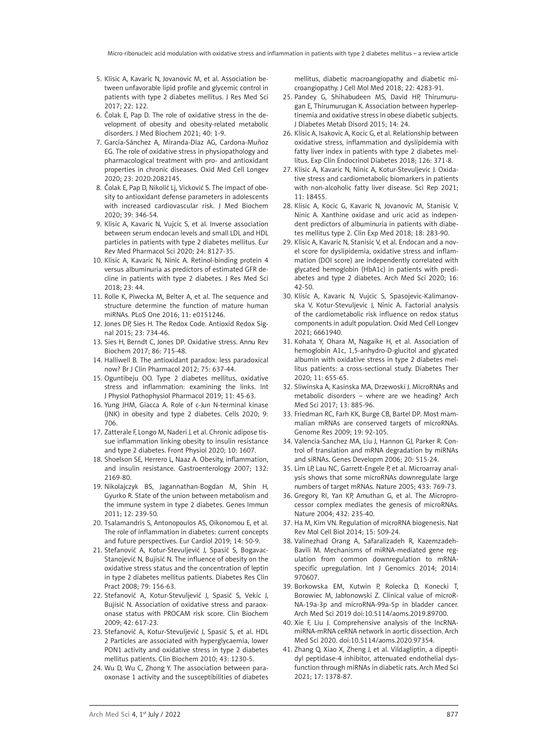- 5. Klisic A, Kavaric N, Jovanovic M, et al. Association between unfavorable lipid profile and glycemic control in patients with type 2 diabetes mellitus. J Res Med Sci 2017; 22: 122.
- 6. Čolak E, Pap D. The role of oxidative stress in the development of obesity and obesity-related metabolic disorders. J Med Biochem 2021; 40: 1-9.
- 7. García-Sánchez A, Miranda-Díaz AG, Cardona-Muñoz EG. The role of oxidative stress in physiopathology and pharmacological treatment with pro- and antioxidant properties in chronic diseases. Oxid Med Cell Longev 2020; 23: 2020:2082145.
- 8. Čolak E, Pap D, Nikolić Lj, Vicković S. The impact of obesity to antioxidant defense parameters in adolescents with increased cardiovascular risk. J Med Biochem 2020; 39: 346-54.
- 9. Klisic A, Kavaric N, Vujcic S, et al. Inverse association between serum endocan levels and small LDL and HDL particles in patients with type 2 diabetes mellitus. Eur Rev Med Pharmacol Sci 2020; 24: 8127-35.
- 10. Klisic A, Kavaric N, Ninic A. Retinol-binding protein 4 versus albuminuria as predictors of estimated GFR decline in patients with type 2 diabetes. J Res Med Sci 2018; 23: 44.
- 11. Rolle K, Piwecka M, Belter A, et al. The sequence and structure determine the function of mature human miRNAs. PLoS One 2016; 11: e0151246.
- 12. Jones DP, Sies H. The Redox Code. Antioxid Redox Signal 2015; 23: 734-46.
- 13. Sies H, Berndt C, Jones DP. Oxidative stress. Annu Rev Biochem 2017; 86: 715-48.
- 14. Halliwell B. The antioxidant paradox: less paradoxical now? Br J Clin Pharmacol 2012; 75: 637-44.
- 15. Oguntibeju OO. Type 2 diabetes mellitus, oxidative stress and inflammation: examining the links. Int J Physiol Pathophysiol Pharmacol 2019; 11: 45-63.
- 16. Yung JHM, Giacca A. Role of c-Jun N-terminal kinase (JNK) in obesity and type 2 diabetes. Cells 2020; 9: 706.
- 17. Zatterale F, Longo M, Naderi J, et al. Chronic adipose tissue inflammation linking obesity to insulin resistance and type 2 diabetes. Front Physiol 2020; 10: 1607.
- 18. Shoelson SE, Herrero L, Naaz A. Obesity, inflammation, and insulin resistance. Gastroenterology 2007; 132: 2169-80.
- 19. Nikolajczyk BS, Jagannathan-Bogdan M, Shin H, Gyurko R. State of the union between metabolism and the immune system in type 2 diabetes. Genes Immun 2011; 12: 239-50.
- 20. Tsalamandris S, Antonopoulos AS, Oikonomou E, et al. The role of inflammation in diabetes: current concepts and future perspectives. Eur Cardiol 2019; 14: 50-9.
- 21. Stefanović A, Kotur-Stevuljević J, Spasić S, Bogavac-Stanojević N, Bujisić N. The influence of obesity on the oxidative stress status and the concentration of leptin in type 2 diabetes mellitus patients. Diabetes Res Clin Pract 2008; 79: 156-63.
- 22. Stefanović A, Kotur-Stevuljević J, Spasić S, Vekic J, Bujisić N. Association of oxidative stress and paraoxonase status with PROCAM risk score. Clin Biochem 2009; 42: 617-23.
- 23. Stefanović A, Kotur-Stevuljević J, Spasić S, et al. HDL 2 Particles are associated with hyperglycaemia, lower PON1 activity and oxidative stress in type 2 diabetes mellitus patients. Clin Biochem 2010; 43: 1230-5.
- 24. Wu D, Wu C, Zhong Y. The association between paraoxonase 1 activity and the susceptibilities of diabetes

mellitus, diabetic macroangiopathy and diabetic microangiopathy. J Cell Mol Med 2018; 22: 4283-91.

- 25. Pandey G, Shihabudeen MS, David HP, Thirumurugan E, Thirumurugan K. Association between hyperleptinemia and oxidative stress in obese diabetic subjects. J Diabetes Metab Disord 2015; 14: 24.
- 26. Klisic A, Isakovic A, Kocic G, et al. Relationship between oxidative stress, inflammation and dyslipidemia with fatty liver index in patients with type 2 diabetes mellitus. Exp Clin Endocrinol Diabetes 2018; 126: 371-8.
- 27. Klisic A, Kavaric N, Ninic A, Kotur-Stevuljevic J. Oxidative stress and cardiometabolic biomarkers in patients with non-alcoholic fatty liver disease. Sci Rep 2021; 11: 18455.
- 28. Klisic A, Kocic G, Kavaric N, Jovanovic M, Stanisic V, Ninic A. Xanthine oxidase and uric acid as independent predictors of albuminuria in patients with diabetes mellitus type 2. Clin Exp Med 2018; 18: 283-90.
- 29. Klisic A, Kavaric N, Stanisic V, et al. Endocan and a novel score for dyslipidemia, oxidative stress and inflammation (DOI score) are independently correlated with glycated hemoglobin (HbA1c) in patients with prediabetes and type 2 diabetes. Arch Med Sci 2020; 16: 42-50.
- 30. Klisic A, Kavaric N, Vujcic S, Spasojevic-Kalimanovska V, Kotur-Stevuljevic J, Ninic A. Factorial analysis of the cardiometabolic risk influence on redox status components in adult population. Oxid Med Cell Longev 2021; 6661940.
- 31. Kohata Y, Ohara M, Nagaike H, et al. Association of hemoglobin A1c, 1,5-anhydro-D-glucitol and glycated albumin with oxidative stress in type 2 diabetes mellitus patients: a cross-sectional study. Diabetes Ther 2020; 11: 655-65.
- 32. Sliwinska A, Kasinska MA, Drzewoski J. MicroRNAs and metabolic disorders – where are we heading? Arch Med Sci 2017; 13: 885-96.
- 33. Friedman RC, Farh KK, Burge CB, Bartel DP. Most mammalian mRNAs are conserved targets of microRNAs. Genome Res 2009; 19: 92-105.
- 34. Valencia-Sanchez MA, Liu J, Hannon GJ, Parker R. Control of translation and mRNA degradation by miRNAs and siRNAs. Genes Developm 2006; 20: 515-24.
- 35. Lim LP, Lau NC, Garrett-Engele P, et al. Microarray analysis shows that some microRNAs downregulate large numbers of target mRNAs. Nature 2005; 433: 769-73.
- 36. Gregory RI, Yan KP, Amuthan G, et al. The Microprocessor complex mediates the genesis of microRNAs. Nature 2004; 432: 235-40.
- 37. Ha M, Kim VN. Regulation of microRNA biogenesis. Nat Rev Mol Cell Biol 2014; 15: 509-24.
- 38. Valinezhad Orang A, Safaralizadeh R, Kazemzadeh-Bavili M. Mechanisms of miRNA-mediated gene regulation from common downregulation to mRNAspecific upregulation. Int J Genomics 2014; 2014: 970607.
- 39. Borkowska EM, Kutwin P, Rolecka D, Konecki T, Borowiec M, Jabłonowski Z. Clinical value of microR-NA-19a-3p and microRNA-99a-5p in bladder cancer. Arch Med Sci 2019 doi:10.5114/aoms.2019.89700.
- 40. Xie F, Liu J. Comprehensive analysis of the lncRNAmiRNA-mRNA ceRNA network in aortic dissection. Arch Med Sci 2020. doi:10.5114/aoms.2020.97354.
- 41. Zhang Q, Xiao X, Zheng J, et al. Vildagliptin, a dipeptidyl peptidase-4 inhibitor, attenuated endothelial dysfunction through miRNAs in diabetic rats. Arch Med Sci 2021; 17: 1378-87.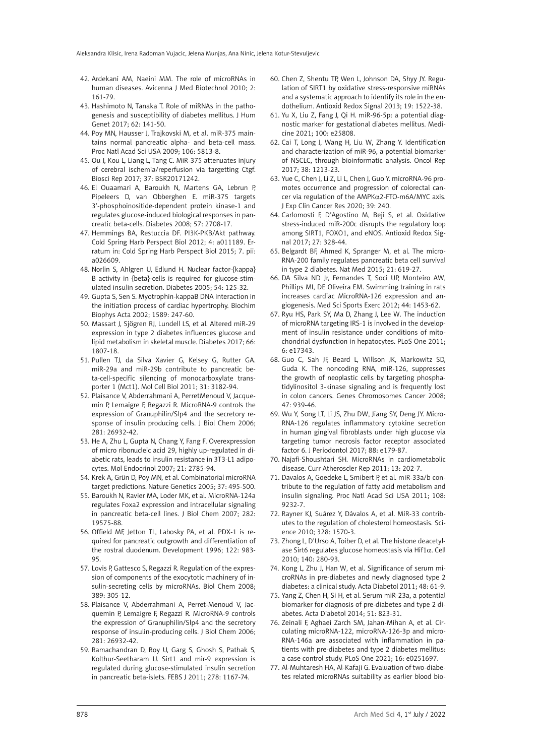- 42. Ardekani AM, Naeini MM. The role of microRNAs in human diseases. Avicenna J Med Biotechnol 2010; 2: 161-79.
- 43. Hashimoto N, Tanaka T. Role of miRNAs in the pathogenesis and susceptibility of diabetes mellitus. J Hum Genet 2017; 62: 141-50.
- 44. Poy MN, Hausser J, Trajkovski M, et al. miR-375 maintains normal pancreatic alpha- and beta-cell mass. Proc Natl Acad Sci USA 2009; 106: 5813-8.
- 45. Ou J, Kou L, Liang L, Tang C. MiR-375 attenuates injury of cerebral ischemia/reperfusion via targetting Ctgf. Biosci Rep 2017; 37: BSR20171242.
- 46. El Ouaamari A, Baroukh N, Martens GA, Lebrun P, Pipeleers D, van Obberghen E. miR-375 targets 3′-phosphoinositide-dependent protein kinase-1 and regulates glucose-induced biological responses in pancreatic beta-cells. Diabetes 2008; 57: 2708-17.
- 47. Hemmings BA, Restuccia DF. PI3K-PKB/Akt pathway. Cold Spring Harb Perspect Biol 2012; 4: a011189. Erratum in: Cold Spring Harb Perspect Biol 2015; 7. pii: a026609.
- 48. Norlin S, Ahlgren U, Edlund H. Nuclear factor-{kappa} B activity in {beta}-cells is required for glucose-stimulated insulin secretion. Diabetes 2005; 54: 125-32.
- 49. Gupta S, Sen S. Myotrophin-kappaB DNA interaction in the initiation process of cardiac hypertrophy. Biochim Biophys Acta 2002; 1589: 247-60.
- 50. Massart J, Sjögren RJ, Lundell LS, et al. Altered miR-29 expression in type 2 diabetes influences glucose and lipid metabolism in skeletal muscle. Diabetes 2017; 66: 1807-18.
- 51. Pullen TJ, da Silva Xavier G, Kelsey G, Rutter GA. miR-29a and miR-29b contribute to pancreatic beta-cell-specific silencing of monocarboxylate transporter 1 (Mct1). Mol Cell Biol 2011; 31: 3182-94.
- 52. Plaisance V, Abderrahmani A, PerretMenoud V, Jacquemin P, Lemaigre F, Regazzi R. MicroRNA-9 controls the expression of Granuphilin/Slp4 and the secretory response of insulin producing cells. J Biol Chem 2006; 281: 26932-42.
- 53. He A, Zhu L, Gupta N, Chang Y, Fang F. Overexpression of micro ribonucleic acid 29, highly up-regulated in diabetic rats, leads to insulin resistance in 3T3-L1 adipocytes. Mol Endocrinol 2007; 21: 2785-94.
- 54. Krek A, Grün D, Poy MN, et al. Combinatorial microRNA target predictions. Nature Genetics 2005; 37: 495-500.
- 55. Baroukh N, Ravier MA, Loder MK, et al. MicroRNA-124a regulates Foxa2 expression and intracellular signaling in pancreatic beta-cell lines. J Biol Chem 2007; 282: 19575-88.
- 56. Offield MF, Jetton TL, Labosky PA, et al. PDX-1 is required for pancreatic outgrowth and differentiation of the rostral duodenum. Development 1996; 122: 983- 95.
- 57. Lovis P, Gattesco S, Regazzi R. Regulation of the expression of components of the exocytotic machinery of insulin-secreting cells by microRNAs. Biol Chem 2008; 389: 305-12.
- 58. Plaisance V, Abderrahmani A, Perret-Menoud V, Jacquemin P, Lemaigre F, Regazzi R. MicroRNA-9 controls the expression of Granuphilin/Slp4 and the secretory response of insulin-producing cells. J Biol Chem 2006; 281: 26932-42.
- 59. Ramachandran D, Roy U, Garg S, Ghosh S, Pathak S, Kolthur-Seetharam U. Sirt1 and mir-9 expression is regulated during glucose-stimulated insulin secretion in pancreatic beta-islets. FEBS J 2011; 278: 1167-74.
- 60. Chen Z, Shentu TP, Wen L, Johnson DA, Shyy JY. Regulation of SIRT1 by oxidative stress-responsive miRNAs and a systematic approach to identify its role in the endothelium. Antioxid Redox Signal 2013; 19: 1522-38.
- 61. Yu X, Liu Z, Fang J, Qi H. miR-96-5p: a potential diagnostic marker for gestational diabetes mellitus. Medicine 2021; 100: e25808.
- 62. Cai T, Long J, Wang H, Liu W, Zhang Y. Identification and characterization of miR-96, a potential biomarker of NSCLC, through bioinformatic analysis. Oncol Rep 2017; 38: 1213-23.
- 63. Yue C, Chen J, Li Z, Li L, Chen J, Guo Y. microRNA-96 promotes occurrence and progression of colorectal cancer via regulation of the AMPKα2-FTO-m6A/MYC axis. J Exp Clin Cancer Res 2020; 39: 240.
- 64. Carlomosti F, D'Agostino M, Beji S, et al. Oxidative stress-induced miR-200c disrupts the regulatory loop among SIRT1, FOXO1, and eNOS. Antioxid Redox Signal 2017; 27: 328-44.
- 65. Belgardt BF, Ahmed K, Spranger M, et al. The micro-RNA-200 family regulates pancreatic beta cell survival in type 2 diabetes. Nat Med 2015; 21: 619-27.
- 66. DA Silva ND Jr, Fernandes T, Soci UP, Monteiro AW, Phillips MI, DE Oliveira EM. Swimming training in rats increases cardiac MicroRNA-126 expression and angiogenesis. Med Sci Sports Exerc 2012; 44: 1453-62.
- 67. Ryu HS, Park SY, Ma D, Zhang J, Lee W. The induction of microRNA targeting IRS-1 is involved in the development of insulin resistance under conditions of mitochondrial dysfunction in hepatocytes. PLoS One 2011; 6: e17343.
- 68. Guo C, Sah JF, Beard L, Willson JK, Markowitz SD, Guda K. The noncoding RNA, miR-126, suppresses the growth of neoplastic cells by targeting phosphatidylinositol 3-kinase signaling and is frequently lost in colon cancers. Genes Chromosomes Cancer 2008; 47: 939-46.
- 69. Wu Y, Song LT, Li JS, Zhu DW, Jiang SY, Deng JY. Micro-RNA-126 regulates inflammatory cytokine secretion in human gingival fibroblasts under high glucose via targeting tumor necrosis factor receptor associated factor 6. J Periodontol 2017; 88: e179-87.
- 70. Najafi-Shoushtari SH. MicroRNAs in cardiometabolic disease. Curr Atheroscler Rep 2011; 13: 202-7.
- 71. Davalos A, Goedeke L, Smibert P, et al. miR-33a/b contribute to the regulation of fatty acid metabolism and insulin signaling. Proc Natl Acad Sci USA 2011; 108: 9232-7.
- 72. Rayner KJ, Suárez Y, Dávalos A, et al. MiR-33 contributes to the regulation of cholesterol homeostasis. Science 2010; 328: 1570-3.
- 73. Zhong L, D'Urso A, Toiber D, et al. The histone deacetylase Sirt6 regulates glucose homeostasis via Hif1α. Cell 2010; 140: 280-93.
- 74. Kong L, Zhu J, Han W, et al. Significance of serum microRNAs in pre-diabetes and newly diagnosed type 2 diabetes: a clinical study. Acta Diabetol 2011; 48: 61-9.
- 75. Yang Z, Chen H, Si H, et al. Serum miR-23a, a potential biomarker for diagnosis of pre-diabetes and type 2 diabetes. Acta Diabetol 2014; 51: 823-31.
- 76. Zeinali F, Aghaei Zarch SM, Jahan-Mihan A, et al. Circulating microRNA-122, microRNA-126-3p and micro-RNA-146a are associated with inflammation in patients with pre-diabetes and type 2 diabetes mellitus: a case control study. PLoS One 2021; 16: e0251697.
- 77. Al-Muhtaresh HA, Al-Kafaji G. Evaluation of two-diabetes related microRNAs suitability as earlier blood bio-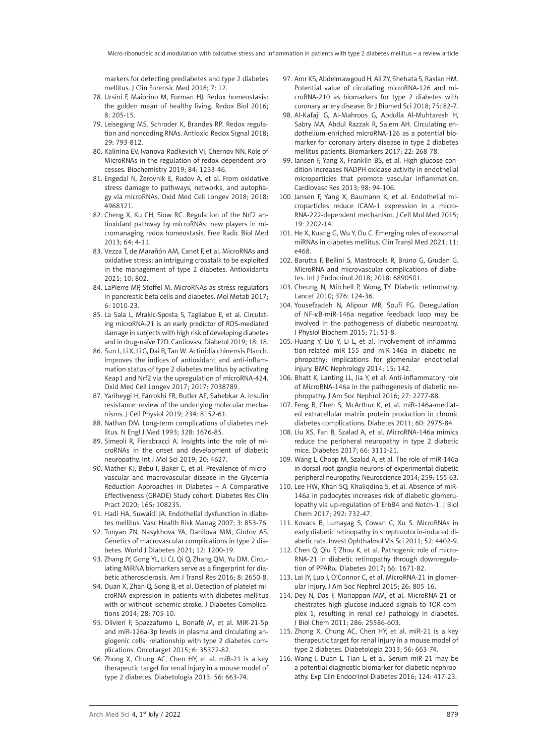markers for detecting prediabetes and type 2 diabetes mellitus. J Clin Forensic Med 2018; 7: 12.

- 78. Ursini F, Maiorino M, Forman HJ. Redox homeostasis: the golden mean of healthy living. Redox Biol 2016; 8: 205-15.
- 79. Leisegang MS, Schroder K, Brandes RP. Redox regulation and noncoding RNAs. Antioxid Redox Signal 2018; 29: 793-812.
- 80. Kalinina EV, Ivanova-Radkevich VI, Chernov NN. Role of MicroRNAs in the regulation of redox-dependent processes. Biochemistry 2019; 84: 1233-46.
- 81. Engedal N, Žerovnik E, Rudov A, et al. From oxidative stress damage to pathways, networks, and autophagy via microRNAs. Oxid Med Cell Longev 2018; 2018: 4968321.
- 82. Cheng X, Ku CH, Siow RC. Regulation of the Nrf2 antioxidant pathway by microRNAs: new players in micromanaging redox homeostasis. Free Radic Biol Med 2013; 64: 4-11.
- 83. Vezza T, de Marañón AM, Canet F, et al. MicroRNAs and oxidative stress: an intriguing crosstalk to be exploited in the management of type 2 diabetes. Antioxidants 2021; 10: 802.
- 84. LaPierre MP, Stoffel M. MicroRNAs as stress regulators in pancreatic beta cells and diabetes. Mol Metab 2017; 6: 1010-23.
- 85. La Sala L, Mrakic-Sposta S, Tagliabue E, et al. Circulating microRNA-21 is an early predictor of ROS-mediated damage in subjects with high risk of developing diabetes and in drug-naïve T2D. Cardiovasc Diabetol 2019; 18: 18.
- 86. Sun L, Li X, Li G, Dai B, Tan W. Actinidia chinensis Planch. Improves the indices of antioxidant and anti-inflammation status of type 2 diabetes mellitus by activating Keap1 and Nrf2 via the upregulation of microRNA-424. Oxid Med Cell Longev 2017; 2017: 7038789.
- 87. Yaribeygi H, Farrokhi FR, Butler AE, Sahebkar A. Insulin resistance: review of the underlying molecular mechanisms. J Cell Physiol 2019; 234: 8152-61.
- 88. Nathan DM. Long-term complications of diabetes mellitus. N Engl J Med 1993; 328: 1676-85.
- 89. Simeoli R, Fierabracci A. Insights into the role of microRNAs in the onset and development of diabetic neuropathy. Int J Mol Sci 2019; 20: 4627.
- 90. Mather KJ, Bebu I, Baker C, et al. Prevalence of microvascular and macrovascular disease in the Glycemia Reduction Approaches in Diabetes – A Comparative Effectiveness (GRADE) Study cohort. Diabetes Res Clin Pract 2020; 165: 108235.
- 91. Hadi HA, Suwaidi JA. Endothelial dysfunction in diabetes mellitus. Vasc Health Risk Manag 2007; 3: 853-76.
- 92. Tonyan ZN, Nasykhova YA, Danilova MM, Glotov AS. Genetics of macrovascular complications in type 2 diabetes. World J Diabetes 2021; 12: 1200-19.
- 93. Zhang JY, Gong YL, Li CJ, Qi Q, Zhang QM, Yu DM. Circulating MiRNA biomarkers serve as a fingerprint for diabetic atherosclerosis. Am J Transl Res 2016; 8: 2650-8.
- 94. Duan X, Zhan Q, Song B, et al. Detection of platelet microRNA expression in patients with diabetes mellitus with or without ischemic stroke. J Diabetes Complications 2014; 28: 705-10.
- 95. Olivieri F, Spazzafumo L, Bonafè M, et al. MiR-21-5p and miR-126a-3p levels in plasma and circulating angiogenic cells: relationship with type 2 diabetes complications. Oncotarget 2015; 6: 35372-82.
- 96. Zhong X, Chung AC, Chen HY, et al. miR-21 is a key therapeutic target for renal injury in a mouse model of type 2 diabetes. Diabetologia 2013; 56: 663-74.
- 97. Amr KS, Abdelmawgoud H, Ali ZY, Shehata S, Raslan HM. Potential value of circulating microRNA-126 and microRNA-210 as biomarkers for type 2 diabetes with coronary artery disease. Br J Biomed Sci 2018; 75: 82-7.
- 98. Al-Kafaji G, Al-Mahroos G, Abdulla Al-Muhtaresh H, Sabry MA, Abdul Razzak R, Salem AH. Circulating endothelium-enriched microRNA-126 as a potential biomarker for coronary artery disease in type 2 diabetes mellitus patients. Biomarkers 2017; 22: 268-78.
- 99. Jansen F, Yang X, Franklin BS, et al. High glucose condition increases NADPH oxidase activity in endothelial microparticles that promote vascular inflammation. Cardiovasc Res 2013; 98: 94-106.
- 100. Jansen F, Yang X, Baumann K, et al. Endothelial microparticles reduce ICAM-1 expression in a micro-RNA-222-dependent mechanism. J Cell Mol Med 2015; 19: 2202-14.
- 101. He X, Kuang G, Wu Y, Ou C. Emerging roles of exosomal miRNAs in diabetes mellitus. Clin Transl Med 2021; 11: e468.
- 102. Barutta F, Bellini S, Mastrocola R, Bruno G, Gruden G. MicroRNA and microvascular complications of diabetes. Int J Endocrinol 2018; 2018: 6890501.
- 103. Cheung N, Mitchell P, Wong TY. Diabetic retinopathy. Lancet 2010; 376: 124-36.
- 104. Yousefzadeh N, Alipour MR, Soufi FG. Deregulation of NF-kB-miR-146a negative feedback loop may be involved in the pathogenesis of diabetic neuropathy. J Physiol Biochem 2015; 71: 51-8.
- 105. Huang Y, Liu Y, Li L, et al. Involvement of inflammation-related miR-155 and miR-146a in diabetic nephropathy: implications for glomerular endothelial injury. BMC Nephrology 2014; 15: 142.
- 106. Bhatt K, Lanting LL, Jia Y, et al. Anti-inflammatory role of MicroRNA-146a in the pathogenesis of diabetic nephropathy. J Am Soc Nephrol 2016; 27: 2277-88.
- 107. Feng B, Chen S, McArthur K, et al. miR-146a-mediated extracellular matrix protein production in chronic diabetes complications. Diabetes 2011; 60: 2975-84.
- 108. Liu XS, Fan B, Szalad A, et al. MicroRNA-146a mimics reduce the peripheral neuropathy in type 2 diabetic mice. Diabetes 2017; 66: 3111-21.
- 109. Wang L, Chopp M, Szalad A, et al. The role of miR-146a in dorsal root ganglia neurons of experimental diabetic peripheral neuropathy. Neuroscience 2014; 259: 155-63.
- 110. Lee HW, Khan SQ, Khaliqdina S, et al. Absence of miR-146a in podocytes increases risk of diabetic glomerulopathy via up-regulation of ErbB4 and Notch-1. J Biol Chem 2017; 292: 732-47.
- 111. Kovacs B, Lumayag S, Cowan C, Xu S. MicroRNAs in early diabetic retinopathy in streptozotocin-induced diabetic rats. Invest Ophthalmol Vis Sci 2011; 52: 4402-9.
- 112. Chen Q, Qiu F, Zhou K, et al. Pathogenic role of micro-RNA-21 in diabetic retinopathy through downregulation of PPARα. Diabetes 2017; 66: 1671-82.
- 113. Lai JY, Luo J, O'Connor C, et al. MicroRNA-21 in glomerular injury. J Am Soc Nephrol 2015; 26: 805-16.
- 114. Dey N, Das F, Mariappan MM, et al. MicroRNA-21 orchestrates high glucose-induced signals to TOR complex 1, resulting in renal cell pathology in diabetes. J Biol Chem 2011; 286: 25586-603.
- 115. Zhong X, Chung AC, Chen HY, et al. miR-21 is a key therapeutic target for renal injury in a mouse model of type 2 diabetes. Diabetologia 2013; 56: 663-74.
- 116. Wang J, Duan L, Tian L, et al. Serum miR-21 may be a potential diagnostic biomarker for diabetic nephropathy. Exp Clin Endocrinol Diabetes 2016; 124: 417-23.